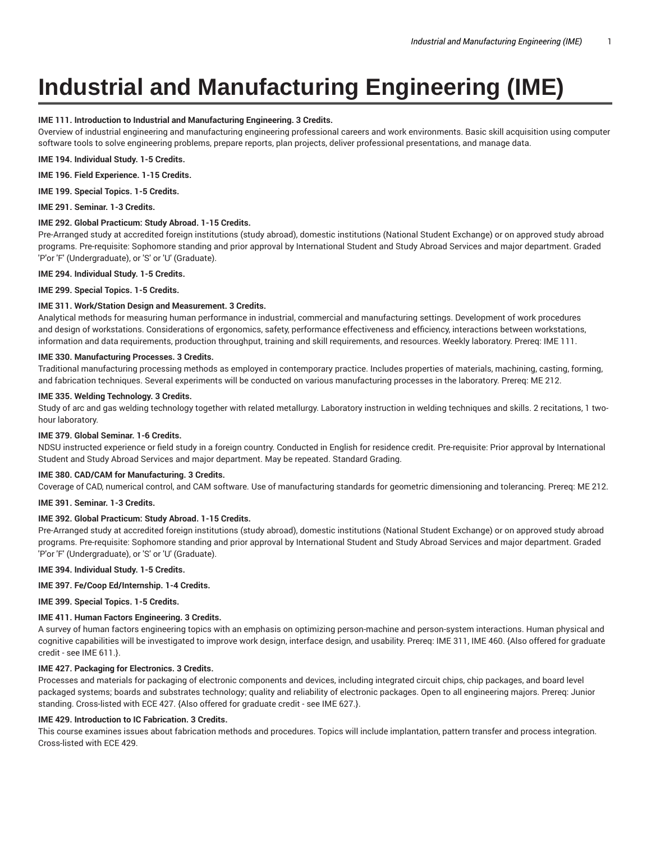# **Industrial and Manufacturing Engineering (IME)**

# **IME 111. Introduction to Industrial and Manufacturing Engineering. 3 Credits.**

Overview of industrial engineering and manufacturing engineering professional careers and work environments. Basic skill acquisition using computer software tools to solve engineering problems, prepare reports, plan projects, deliver professional presentations, and manage data.

**IME 194. Individual Study. 1-5 Credits.**

**IME 196. Field Experience. 1-15 Credits.**

**IME 199. Special Topics. 1-5 Credits.**

**IME 291. Seminar. 1-3 Credits.**

## **IME 292. Global Practicum: Study Abroad. 1-15 Credits.**

Pre-Arranged study at accredited foreign institutions (study abroad), domestic institutions (National Student Exchange) or on approved study abroad programs. Pre-requisite: Sophomore standing and prior approval by International Student and Study Abroad Services and major department. Graded 'P'or 'F' (Undergraduate), or 'S' or 'U' (Graduate).

**IME 294. Individual Study. 1-5 Credits.**

**IME 299. Special Topics. 1-5 Credits.**

# **IME 311. Work/Station Design and Measurement. 3 Credits.**

Analytical methods for measuring human performance in industrial, commercial and manufacturing settings. Development of work procedures and design of workstations. Considerations of ergonomics, safety, performance effectiveness and efficiency, interactions between workstations, information and data requirements, production throughput, training and skill requirements, and resources. Weekly laboratory. Prereq: IME 111.

## **IME 330. Manufacturing Processes. 3 Credits.**

Traditional manufacturing processing methods as employed in contemporary practice. Includes properties of materials, machining, casting, forming, and fabrication techniques. Several experiments will be conducted on various manufacturing processes in the laboratory. Prereq: ME 212.

## **IME 335. Welding Technology. 3 Credits.**

Study of arc and gas welding technology together with related metallurgy. Laboratory instruction in welding techniques and skills. 2 recitations, 1 twohour laboratory.

#### **IME 379. Global Seminar. 1-6 Credits.**

NDSU instructed experience or field study in a foreign country. Conducted in English for residence credit. Pre-requisite: Prior approval by International Student and Study Abroad Services and major department. May be repeated. Standard Grading.

#### **IME 380. CAD/CAM for Manufacturing. 3 Credits.**

Coverage of CAD, numerical control, and CAM software. Use of manufacturing standards for geometric dimensioning and tolerancing. Prereq: ME 212.

# **IME 391. Seminar. 1-3 Credits.**

# **IME 392. Global Practicum: Study Abroad. 1-15 Credits.**

Pre-Arranged study at accredited foreign institutions (study abroad), domestic institutions (National Student Exchange) or on approved study abroad programs. Pre-requisite: Sophomore standing and prior approval by International Student and Study Abroad Services and major department. Graded 'P'or 'F' (Undergraduate), or 'S' or 'U' (Graduate).

## **IME 394. Individual Study. 1-5 Credits.**

# **IME 397. Fe/Coop Ed/Internship. 1-4 Credits.**

**IME 399. Special Topics. 1-5 Credits.**

# **IME 411. Human Factors Engineering. 3 Credits.**

A survey of human factors engineering topics with an emphasis on optimizing person-machine and person-system interactions. Human physical and cognitive capabilities will be investigated to improve work design, interface design, and usability. Prereq: IME 311, IME 460. {Also offered for graduate credit - see IME 611.}.

# **IME 427. Packaging for Electronics. 3 Credits.**

Processes and materials for packaging of electronic components and devices, including integrated circuit chips, chip packages, and board level packaged systems; boards and substrates technology; quality and reliability of electronic packages. Open to all engineering majors. Prereq: Junior standing. Cross-listed with ECE 427. {Also offered for graduate credit - see IME 627.}.

# **IME 429. Introduction to IC Fabrication. 3 Credits.**

This course examines issues about fabrication methods and procedures. Topics will include implantation, pattern transfer and process integration. Cross-listed with ECE 429.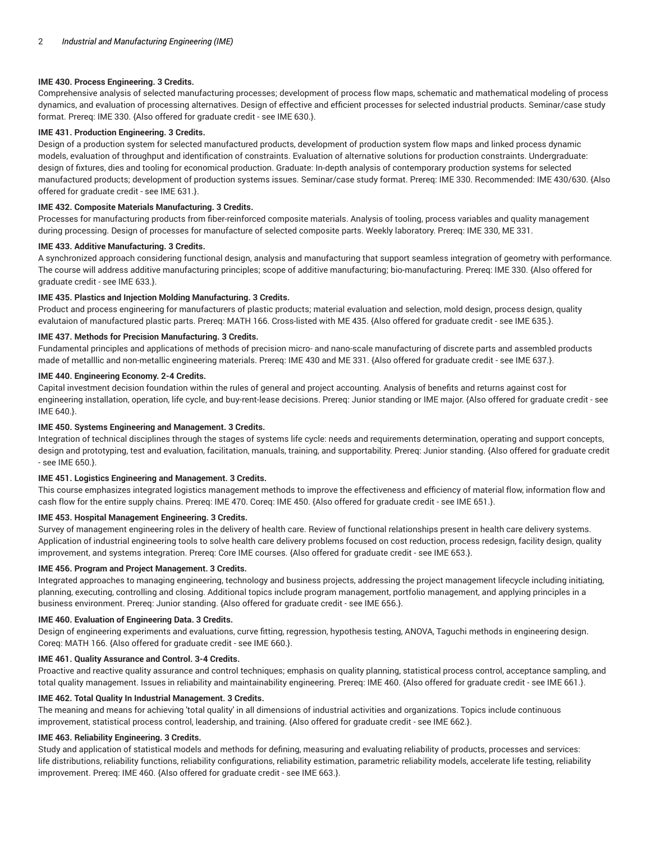# **IME 430. Process Engineering. 3 Credits.**

Comprehensive analysis of selected manufacturing processes; development of process flow maps, schematic and mathematical modeling of process dynamics, and evaluation of processing alternatives. Design of effective and efficient processes for selected industrial products. Seminar/case study format. Prereq: IME 330. {Also offered for graduate credit - see IME 630.}.

## **IME 431. Production Engineering. 3 Credits.**

Design of a production system for selected manufactured products, development of production system flow maps and linked process dynamic models, evaluation of throughput and identification of constraints. Evaluation of alternative solutions for production constraints. Undergraduate: design of fixtures, dies and tooling for economical production. Graduate: In-depth analysis of contemporary production systems for selected manufactured products; development of production systems issues. Seminar/case study format. Prereq: IME 330. Recommended: IME 430/630. {Also offered for graduate credit - see IME 631.}.

## **IME 432. Composite Materials Manufacturing. 3 Credits.**

Processes for manufacturing products from fiber-reinforced composite materials. Analysis of tooling, process variables and quality management during processing. Design of processes for manufacture of selected composite parts. Weekly laboratory. Prereq: IME 330, ME 331.

## **IME 433. Additive Manufacturing. 3 Credits.**

A synchronized approach considering functional design, analysis and manufacturing that support seamless integration of geometry with performance. The course will address additive manufacturing principles; scope of additive manufacturing; bio-manufacturing. Prereq: IME 330. {Also offered for graduate credit - see IME 633.}.

# **IME 435. Plastics and Injection Molding Manufacturing. 3 Credits.**

Product and process engineering for manufacturers of plastic products; material evaluation and selection, mold design, process design, quality evalutaion of manufactured plastic parts. Prereq: MATH 166. Cross-listed with ME 435. {Also offered for graduate credit - see IME 635.}.

## **IME 437. Methods for Precision Manufacturing. 3 Credits.**

Fundamental principles and applications of methods of precision micro- and nano-scale manufacturing of discrete parts and assembled products made of metalllic and non-metallic engineering materials. Prereq: IME 430 and ME 331. {Also offered for graduate credit - see IME 637.}.

## **IME 440. Engineering Economy. 2-4 Credits.**

Capital investment decision foundation within the rules of general and project accounting. Analysis of benefits and returns against cost for engineering installation, operation, life cycle, and buy-rent-lease decisions. Prereq: Junior standing or IME major. {Also offered for graduate credit - see IME 640.}.

# **IME 450. Systems Engineering and Management. 3 Credits.**

Integration of technical disciplines through the stages of systems life cycle: needs and requirements determination, operating and support concepts, design and prototyping, test and evaluation, facilitation, manuals, training, and supportability. Prereq: Junior standing. {Also offered for graduate credit - see IME 650.}.

#### **IME 451. Logistics Engineering and Management. 3 Credits.**

This course emphasizes integrated logistics management methods to improve the effectiveness and efficiency of material flow, information flow and cash flow for the entire supply chains. Prereq: IME 470. Coreq: IME 450. {Also offered for graduate credit - see IME 651.}.

## **IME 453. Hospital Management Engineering. 3 Credits.**

Survey of management engineering roles in the delivery of health care. Review of functional relationships present in health care delivery systems. Application of industrial engineering tools to solve health care delivery problems focused on cost reduction, process redesign, facility design, quality improvement, and systems integration. Prereq: Core IME courses. {Also offered for graduate credit - see IME 653.}.

#### **IME 456. Program and Project Management. 3 Credits.**

Integrated approaches to managing engineering, technology and business projects, addressing the project management lifecycle including initiating, planning, executing, controlling and closing. Additional topics include program management, portfolio management, and applying principles in a business environment. Prereq: Junior standing. {Also offered for graduate credit - see IME 656.}.

#### **IME 460. Evaluation of Engineering Data. 3 Credits.**

Design of engineering experiments and evaluations, curve fitting, regression, hypothesis testing, ANOVA, Taguchi methods in engineering design. Coreq: MATH 166. {Also offered for graduate credit - see IME 660.}.

#### **IME 461. Quality Assurance and Control. 3-4 Credits.**

Proactive and reactive quality assurance and control techniques; emphasis on quality planning, statistical process control, acceptance sampling, and total quality management. Issues in reliability and maintainability engineering. Prereq: IME 460. {Also offered for graduate credit - see IME 661.}.

#### **IME 462. Total Quality In Industrial Management. 3 Credits.**

The meaning and means for achieving 'total quality' in all dimensions of industrial activities and organizations. Topics include continuous improvement, statistical process control, leadership, and training. {Also offered for graduate credit - see IME 662.}.

## **IME 463. Reliability Engineering. 3 Credits.**

Study and application of statistical models and methods for defining, measuring and evaluating reliability of products, processes and services: life distributions, reliability functions, reliability configurations, reliability estimation, parametric reliability models, accelerate life testing, reliability improvement. Prereq: IME 460. {Also offered for graduate credit - see IME 663.}.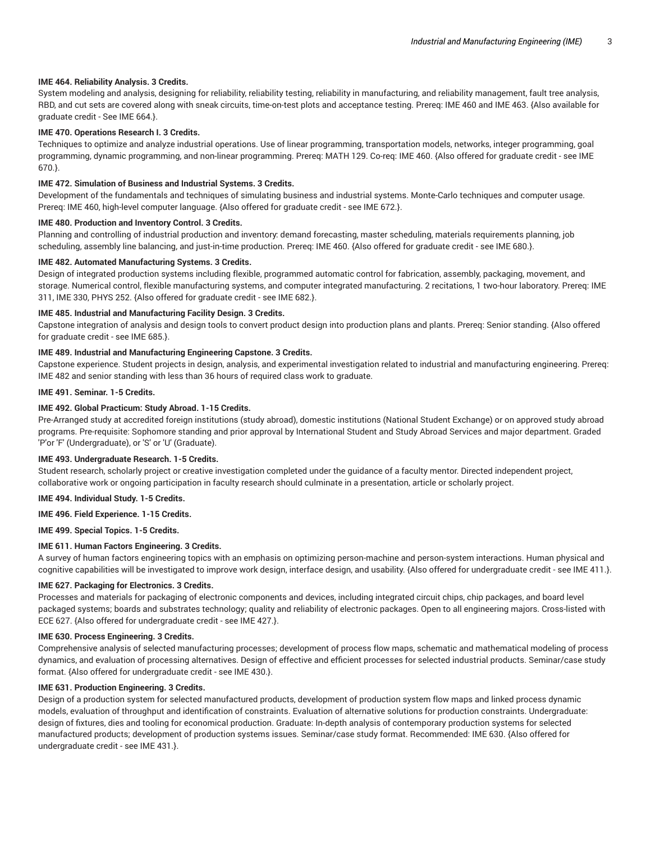## **IME 464. Reliability Analysis. 3 Credits.**

System modeling and analysis, designing for reliability, reliability testing, reliability in manufacturing, and reliability management, fault tree analysis, RBD, and cut sets are covered along with sneak circuits, time-on-test plots and acceptance testing. Prereq: IME 460 and IME 463. {Also available for graduate credit - See IME 664.}.

## **IME 470. Operations Research I. 3 Credits.**

Techniques to optimize and analyze industrial operations. Use of linear programming, transportation models, networks, integer programming, goal programming, dynamic programming, and non-linear programming. Prereq: MATH 129. Co-req: IME 460. {Also offered for graduate credit - see IME 670.}.

#### **IME 472. Simulation of Business and Industrial Systems. 3 Credits.**

Development of the fundamentals and techniques of simulating business and industrial systems. Monte-Carlo techniques and computer usage. Prereq: IME 460, high-level computer language. {Also offered for graduate credit - see IME 672.}.

#### **IME 480. Production and Inventory Control. 3 Credits.**

Planning and controlling of industrial production and inventory: demand forecasting, master scheduling, materials requirements planning, job scheduling, assembly line balancing, and just-in-time production. Prereq: IME 460. {Also offered for graduate credit - see IME 680.}.

## **IME 482. Automated Manufacturing Systems. 3 Credits.**

Design of integrated production systems including flexible, programmed automatic control for fabrication, assembly, packaging, movement, and storage. Numerical control, flexible manufacturing systems, and computer integrated manufacturing. 2 recitations, 1 two-hour laboratory. Prereq: IME 311, IME 330, PHYS 252. {Also offered for graduate credit - see IME 682.}.

#### **IME 485. Industrial and Manufacturing Facility Design. 3 Credits.**

Capstone integration of analysis and design tools to convert product design into production plans and plants. Prereq: Senior standing. {Also offered for graduate credit - see IME 685.}.

#### **IME 489. Industrial and Manufacturing Engineering Capstone. 3 Credits.**

Capstone experience. Student projects in design, analysis, and experimental investigation related to industrial and manufacturing engineering. Prereq: IME 482 and senior standing with less than 36 hours of required class work to graduate.

## **IME 491. Seminar. 1-5 Credits.**

## **IME 492. Global Practicum: Study Abroad. 1-15 Credits.**

Pre-Arranged study at accredited foreign institutions (study abroad), domestic institutions (National Student Exchange) or on approved study abroad programs. Pre-requisite: Sophomore standing and prior approval by International Student and Study Abroad Services and major department. Graded 'P'or 'F' (Undergraduate), or 'S' or 'U' (Graduate).

#### **IME 493. Undergraduate Research. 1-5 Credits.**

Student research, scholarly project or creative investigation completed under the guidance of a faculty mentor. Directed independent project, collaborative work or ongoing participation in faculty research should culminate in a presentation, article or scholarly project.

#### **IME 494. Individual Study. 1-5 Credits.**

# **IME 496. Field Experience. 1-15 Credits.**

**IME 499. Special Topics. 1-5 Credits.**

#### **IME 611. Human Factors Engineering. 3 Credits.**

A survey of human factors engineering topics with an emphasis on optimizing person-machine and person-system interactions. Human physical and cognitive capabilities will be investigated to improve work design, interface design, and usability. {Also offered for undergraduate credit - see IME 411.}.

## **IME 627. Packaging for Electronics. 3 Credits.**

Processes and materials for packaging of electronic components and devices, including integrated circuit chips, chip packages, and board level packaged systems; boards and substrates technology; quality and reliability of electronic packages. Open to all engineering majors. Cross-listed with ECE 627. {Also offered for undergraduate credit - see IME 427.}.

#### **IME 630. Process Engineering. 3 Credits.**

Comprehensive analysis of selected manufacturing processes; development of process flow maps, schematic and mathematical modeling of process dynamics, and evaluation of processing alternatives. Design of effective and efficient processes for selected industrial products. Seminar/case study format. {Also offered for undergraduate credit - see IME 430.}.

# **IME 631. Production Engineering. 3 Credits.**

Design of a production system for selected manufactured products, development of production system flow maps and linked process dynamic models, evaluation of throughput and identification of constraints. Evaluation of alternative solutions for production constraints. Undergraduate: design of fixtures, dies and tooling for economical production. Graduate: In-depth analysis of contemporary production systems for selected manufactured products; development of production systems issues. Seminar/case study format. Recommended: IME 630. {Also offered for undergraduate credit - see IME 431.}.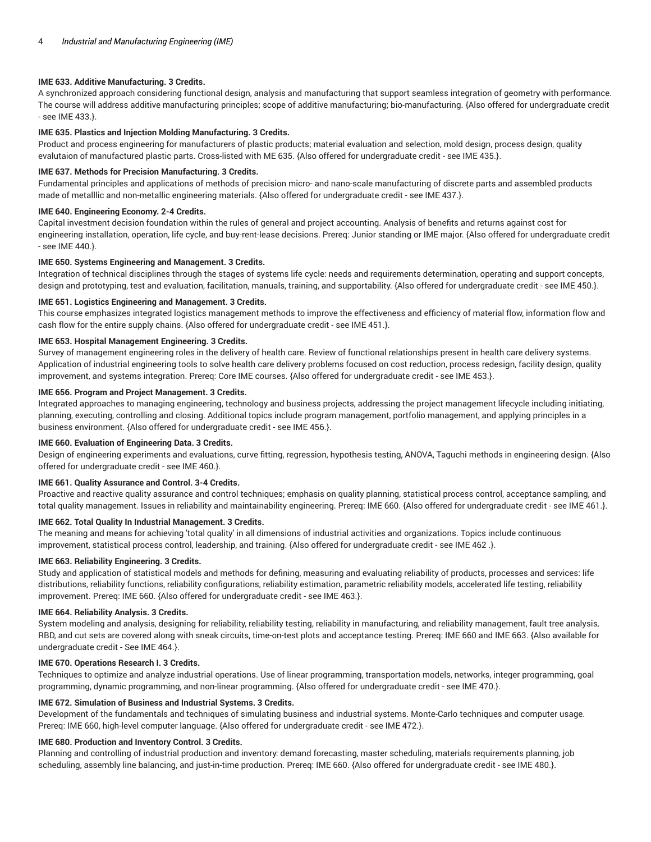## **IME 633. Additive Manufacturing. 3 Credits.**

A synchronized approach considering functional design, analysis and manufacturing that support seamless integration of geometry with performance. The course will address additive manufacturing principles; scope of additive manufacturing; bio-manufacturing. {Also offered for undergraduate credit - see IME 433.}.

## **IME 635. Plastics and Injection Molding Manufacturing. 3 Credits.**

Product and process engineering for manufacturers of plastic products; material evaluation and selection, mold design, process design, quality evalutaion of manufactured plastic parts. Cross-listed with ME 635. {Also offered for undergraduate credit - see IME 435.}.

#### **IME 637. Methods for Precision Manufacturing. 3 Credits.**

Fundamental principles and applications of methods of precision micro- and nano-scale manufacturing of discrete parts and assembled products made of metalllic and non-metallic engineering materials. {Also offered for undergraduate credit - see IME 437.}.

## **IME 640. Engineering Economy. 2-4 Credits.**

Capital investment decision foundation within the rules of general and project accounting. Analysis of benefits and returns against cost for engineering installation, operation, life cycle, and buy-rent-lease decisions. Prereq: Junior standing or IME major. {Also offered for undergraduate credit - see IME 440.}.

## **IME 650. Systems Engineering and Management. 3 Credits.**

Integration of technical disciplines through the stages of systems life cycle: needs and requirements determination, operating and support concepts, design and prototyping, test and evaluation, facilitation, manuals, training, and supportability. (Also offered for undergraduate credit - see IME 450.).

## **IME 651. Logistics Engineering and Management. 3 Credits.**

This course emphasizes integrated logistics management methods to improve the effectiveness and efficiency of material flow, information flow and cash flow for the entire supply chains. {Also offered for undergraduate credit - see IME 451.}.

## **IME 653. Hospital Management Engineering. 3 Credits.**

Survey of management engineering roles in the delivery of health care. Review of functional relationships present in health care delivery systems. Application of industrial engineering tools to solve health care delivery problems focused on cost reduction, process redesign, facility design, quality improvement, and systems integration. Prereq: Core IME courses. {Also offered for undergraduate credit - see IME 453.}.

## **IME 656. Program and Project Management. 3 Credits.**

Integrated approaches to managing engineering, technology and business projects, addressing the project management lifecycle including initiating, planning, executing, controlling and closing. Additional topics include program management, portfolio management, and applying principles in a business environment. {Also offered for undergraduate credit - see IME 456.}.

## **IME 660. Evaluation of Engineering Data. 3 Credits.**

Design of engineering experiments and evaluations, curve fitting, regression, hypothesis testing, ANOVA, Taguchi methods in engineering design. {Also offered for undergraduate credit - see IME 460.}.

#### **IME 661. Quality Assurance and Control. 3-4 Credits.**

Proactive and reactive quality assurance and control techniques; emphasis on quality planning, statistical process control, acceptance sampling, and total quality management. Issues in reliability and maintainability engineering. Prereq: IME 660. {Also offered for undergraduate credit - see IME 461.}.

#### **IME 662. Total Quality In Industrial Management. 3 Credits.**

The meaning and means for achieving 'total quality' in all dimensions of industrial activities and organizations. Topics include continuous improvement, statistical process control, leadership, and training. {Also offered for undergraduate credit - see IME 462 .}.

# **IME 663. Reliability Engineering. 3 Credits.**

Study and application of statistical models and methods for defining, measuring and evaluating reliability of products, processes and services: life distributions, reliability functions, reliability configurations, reliability estimation, parametric reliability models, accelerated life testing, reliability improvement. Prereq: IME 660. {Also offered for undergraduate credit - see IME 463.}.

# **IME 664. Reliability Analysis. 3 Credits.**

System modeling and analysis, designing for reliability, reliability testing, reliability in manufacturing, and reliability management, fault tree analysis, RBD, and cut sets are covered along with sneak circuits, time-on-test plots and acceptance testing. Prereq: IME 660 and IME 663. {Also available for undergraduate credit - See IME 464.}.

## **IME 670. Operations Research I. 3 Credits.**

Techniques to optimize and analyze industrial operations. Use of linear programming, transportation models, networks, integer programming, goal programming, dynamic programming, and non-linear programming. {Also offered for undergraduate credit - see IME 470.}.

# **IME 672. Simulation of Business and Industrial Systems. 3 Credits.**

Development of the fundamentals and techniques of simulating business and industrial systems. Monte-Carlo techniques and computer usage. Prereq: IME 660, high-level computer language. {Also offered for undergraduate credit - see IME 472.}.

# **IME 680. Production and Inventory Control. 3 Credits.**

Planning and controlling of industrial production and inventory: demand forecasting, master scheduling, materials requirements planning, job scheduling, assembly line balancing, and just-in-time production. Prereq: IME 660. {Also offered for undergraduate credit - see IME 480.}.